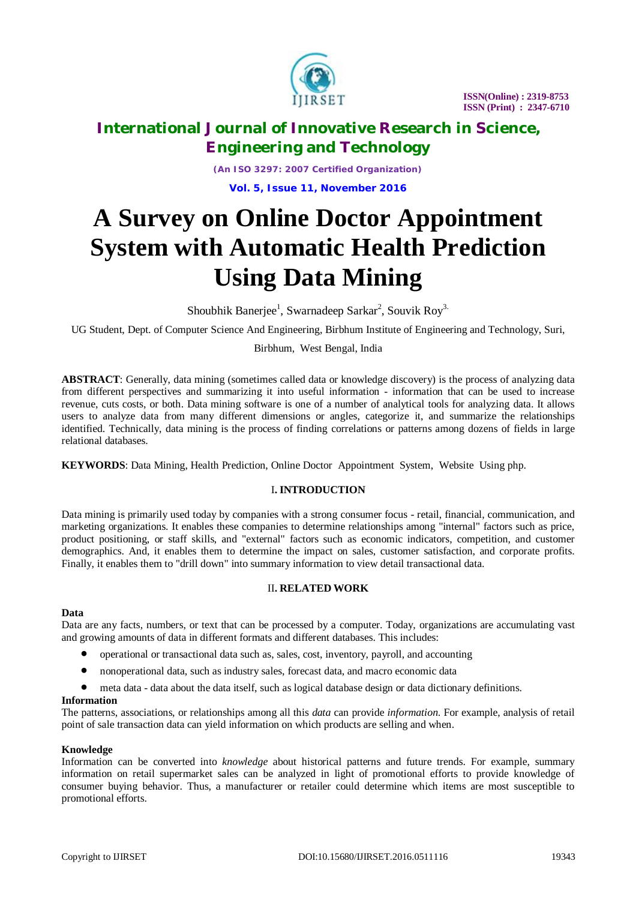

*(An ISO 3297: 2007 Certified Organization)* **Vol. 5, Issue 11, November 2016**

# **A Survey on Online Doctor Appointment System with Automatic Health Prediction Using Data Mining**

Shoubhik Banerjee<sup>1</sup>, Swarnadeep Sarkar<sup>2</sup>, Souvik Roy<sup>3.</sup>

UG Student, Dept. of Computer Science And Engineering, Birbhum Institute of Engineering and Technology, Suri,

### Birbhum, West Bengal, India

**ABSTRACT**: Generally, data mining (sometimes called data or knowledge discovery) is the process of analyzing data from different perspectives and summarizing it into useful information - information that can be used to increase revenue, cuts costs, or both. Data mining software is one of a number of analytical tools for analyzing data. It allows users to analyze data from many different dimensions or angles, categorize it, and summarize the relationships identified. Technically, data mining is the process of finding correlations or patterns among dozens of fields in large relational databases.

**KEYWORDS**: Data Mining, Health Prediction, Online Doctor Appointment System, Website Using php.

### I**. INTRODUCTION**

Data mining is primarily used today by companies with a strong consumer focus - retail, financial, communication, and marketing organizations. It enables these companies to determine relationships among "internal" factors such as price, product positioning, or staff skills, and "external" factors such as economic indicators, competition, and customer demographics. And, it enables them to determine the impact on sales, customer satisfaction, and corporate profits. Finally, it enables them to "drill down" into summary information to view detail transactional data.

### II**. RELATED WORK**

#### **Data**

Data are any facts, numbers, or text that can be processed by a computer. Today, organizations are accumulating vast and growing amounts of data in different formats and different databases. This includes:

- operational or transactional data such as, sales, cost, inventory, payroll, and accounting
- nonoperational data, such as industry sales, forecast data, and macro economic data
- meta data data about the data itself, such as logical database design or data dictionary definitions.

#### **Information**

The patterns, associations, or relationships among all this *data* can provide *information*. For example, analysis of retail point of sale transaction data can yield information on which products are selling and when.

#### **Knowledge**

Information can be converted into *knowledge* about historical patterns and future trends. For example, summary information on retail supermarket sales can be analyzed in light of promotional efforts to provide knowledge of consumer buying behavior. Thus, a manufacturer or retailer could determine which items are most susceptible to promotional efforts.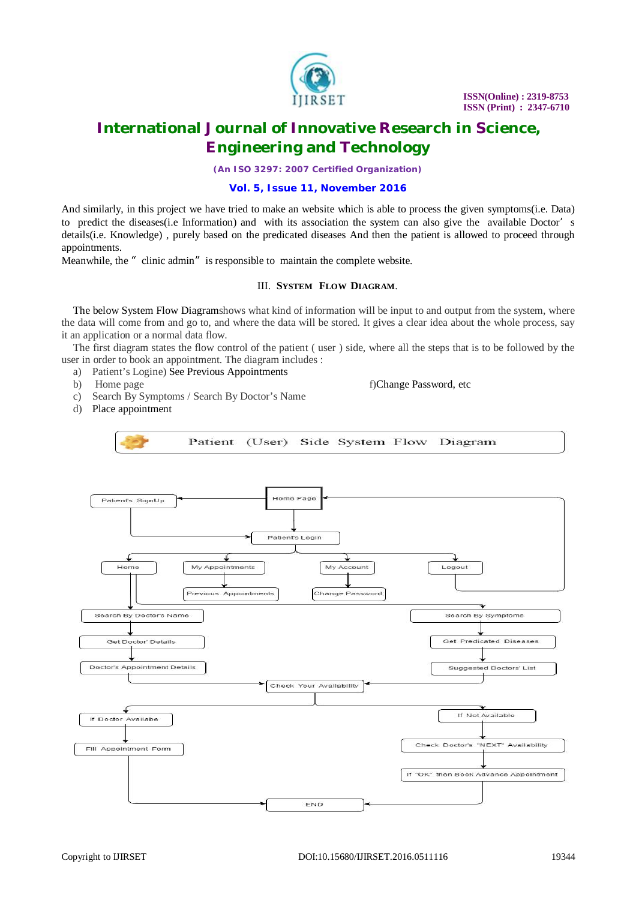

*(An ISO 3297: 2007 Certified Organization)*

#### **Vol. 5, Issue 11, November 2016**

And similarly, in this project we have tried to make an website which is able to process the given symptoms(i.e. Data) to predict the diseases(i.e Information) and with its association the system can also give the available Doctor's details(i.e. Knowledge) , purely based on the predicated diseases And then the patient is allowed to proceed through appointments.

Meanwhile, the "clinic admin" is responsible to maintain the complete website.

#### III. **SYSTEM FLOW DIAGRAM**.

The below System Flow Diagramshows what kind of information will be input to and output from the system, where the data will come from and go to, and where the data will be stored. It gives a clear idea about the whole process, say it an application or a normal data flow.

The first diagram states the flow control of the patient ( user ) side, where all the steps that is to be followed by the user in order to book an appointment. The diagram includes :

- a) Patient's Logine) See Previous Appointments
- b) Home page f)Change Password, etc
- c) Search By Symptoms / Search By Doctor's Name
- d) Place appointment

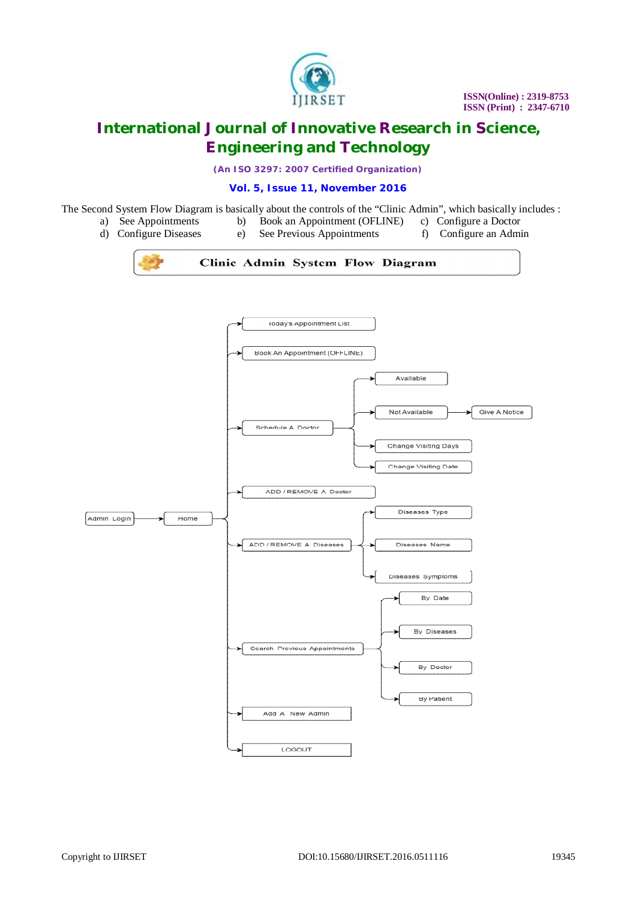

*(An ISO 3297: 2007 Certified Organization)*

### **Vol. 5, Issue 11, November 2016**

The Second System Flow Diagram is basically about the controls of the "Clinic Admin", which basically includes :

- 
- d) Configure Diseases e) See Previous Appointments f) Configure an Admin
- a) See Appointments b) Book an Appointment (OFLINE) c) Configure a Doctor
	-
	-

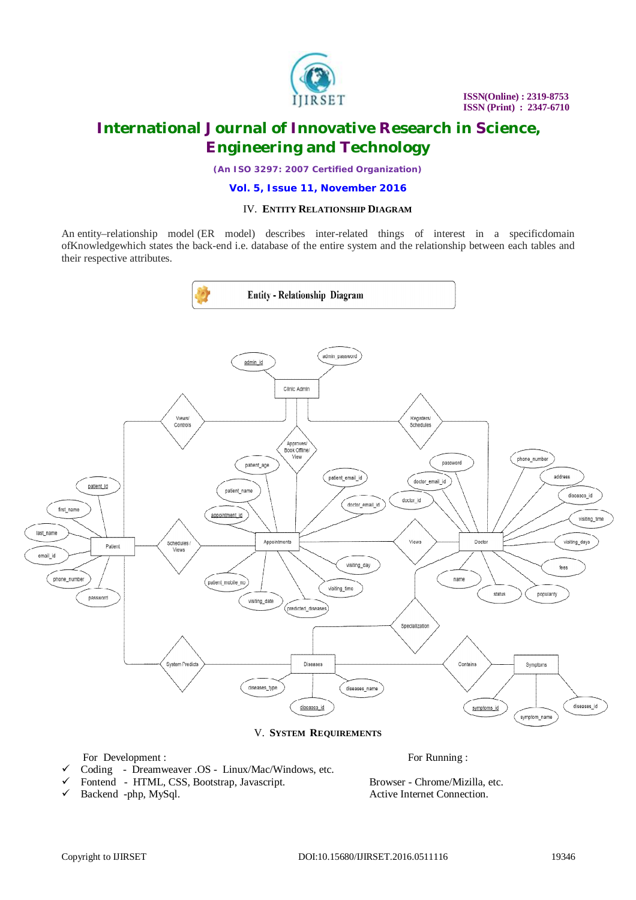

*(An ISO 3297: 2007 Certified Organization)*

**Vol. 5, Issue 11, November 2016**

#### IV. **ENTITY RELATIONSHIP DIAGRAM**

An entity–relationship model (ER model) describes inter-related things of interest in a specificdomain ofKnowledgewhich states the back-end i.e. database of the entire system and the relationship between each tables and their respective attributes.



V. **SYSTEM REQUIREMENTS**

For Development : For Running :

- $\checkmark$  Coding Dreamweaver .OS Linux/Mac/Windows, etc.
- Fontend HTML, CSS, Bootstrap, Javascript. Browser Chrome/Mizilla, etc.
- 

 $\checkmark$  Backend -php, MySql.  $\checkmark$  Backend -php, MySql.